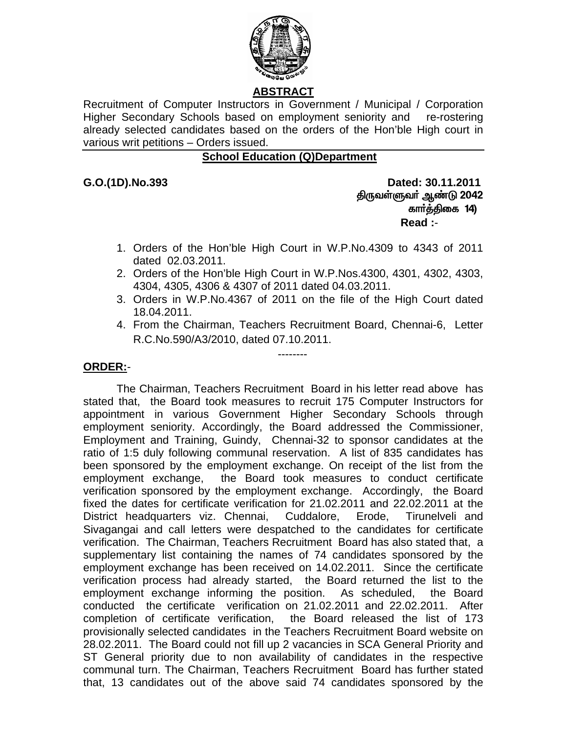

## **ABSTRACT**

Recruitment of Computer Instructors in Government / Municipal / Corporation Higher Secondary Schools based on employment seniority and re-rostering already selected candidates based on the orders of the Hon'ble High court in various writ petitions – Orders issued.

## **School Education (Q)Department**

**G.O.(1D).No.393 Dated: 30.11.2011**  திருவள்ளுவர் ஆண்டு 2042 கார்த்திகை 14) **Read :**-

- 1. Orders of the Hon'ble High Court in W.P.No.4309 to 4343 of 2011 dated 02.03.2011.
- 2. Orders of the Hon'ble High Court in W.P.Nos.4300, 4301, 4302, 4303, 4304, 4305, 4306 & 4307 of 2011 dated 04.03.2011.
- 3. Orders in W.P.No.4367 of 2011 on the file of the High Court dated 18.04.2011.
- 4. From the Chairman, Teachers Recruitment Board, Chennai-6, Letter R.C.No.590/A3/2010, dated 07.10.2011.

--------

## **ORDER:**-

The Chairman, Teachers Recruitment Board in his letter read above has stated that, the Board took measures to recruit 175 Computer Instructors for appointment in various Government Higher Secondary Schools through employment seniority. Accordingly, the Board addressed the Commissioner, Employment and Training, Guindy, Chennai-32 to sponsor candidates at the ratio of 1:5 duly following communal reservation. A list of 835 candidates has been sponsored by the employment exchange. On receipt of the list from the employment exchange, the Board took measures to conduct certificate verification sponsored by the employment exchange. Accordingly, the Board fixed the dates for certificate verification for 21.02.2011 and 22.02.2011 at the District headquarters viz. Chennai, Cuddalore, Erode, Tirunelveli and Sivagangai and call letters were despatched to the candidates for certificate verification. The Chairman, Teachers Recruitment Board has also stated that, a supplementary list containing the names of 74 candidates sponsored by the employment exchange has been received on 14.02.2011. Since the certificate verification process had already started, the Board returned the list to the employment exchange informing the position. As scheduled, the Board conducted the certificate verification on 21.02.2011 and 22.02.2011. After completion of certificate verification, the Board released the list of 173 provisionally selected candidates in the Teachers Recruitment Board website on 28.02.2011. The Board could not fill up 2 vacancies in SCA General Priority and ST General priority due to non availability of candidates in the respective communal turn. The Chairman, Teachers Recruitment Board has further stated that, 13 candidates out of the above said 74 candidates sponsored by the